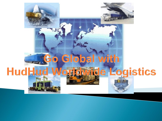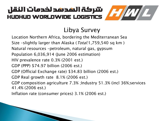### Libya Survey

Location Northern Africa, bordering the Mediterranean Sea

Size –slightly larger than Alaska (*Total:*1,759,540 sq km)

Natural resources –petroleum, natural gas, gypsum

Population 6,036,914 (June 2006 estimation)

HIV prevalence rate 0.3% (2001 est.)

GDP (PPP) \$74.97 billion (2006 est.)

GDP (Official Exchange rate) \$34.83 billion (2006 est.)

GDP Real growth rate 8.1% (2006 est.)

GDP composition agriculture 7.3% ;Industry 51.3% (incl 36%;services 41.4% (2006 est.)

Inflation rate (consumer prices) 3.1% (2006 est.)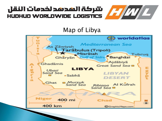

#### Map of Libya

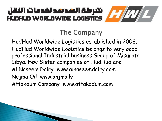

HudHud Worldwide Logistics established in 2008. HudHud Worldwide Logistics belongs to very good professional Industrial business Group of Misurata-Libya. Few Sister companies of HudHud are Al Naseem Dairy www.alnaseemdairy.com Nejma Oil www.anjma.ly Attakdum Company www.attakadum.com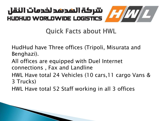### **Quick Facts about HWL**

HudHud have Three offices (Tripoli, Misurata and Benghazi).

- All offices are equipped with Duel Internet connections , Fax and Landline
- HWL Have total 24 Vehicles (10 cars,11 cargo Vans & 3 Trucks)
- HWL Have total 52 Staff working in all 3 offices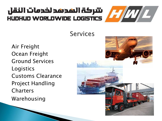

#### **Services**

Air Freight Ocean Freight Ground Services Logistics Customs Clearance Project Handling Charters Warehousing

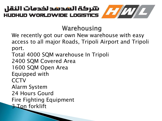Warehousing

We recently got our own New warehouse with easy access to all major Roads, Tripoli Airport and Tripoli port.

Total 4000 SQM warehouse In Tripoli

2400 SQM Covered Area

1600 SQM Open Area

Equipped with

**CCTV** 

Alarm System

24 Hours Gourd

Fire Fighting Equipment

3 Ton forklift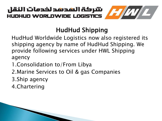

## HudHud Shipping

HudHud Worldwide Logistics now also registered its shipping agency by name of HudHud Shipping. We provide following services under HWL Shipping agency

- 1.Consolidation to/From Libya
- 2.Marine Services to Oil & gas Companies
- 3.Ship agency
- 4.Chartering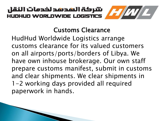

### Customs Clearance

HudHud Worldwide Logistics arrange customs clearance for its valued customers on all airports/ports/borders of Libya. We have own inhouse brokerage. Our own staff prepare customs manifest, submit in customs and clear shipments. We clear shipments in 1-2 working days provided all required paperwork in hands.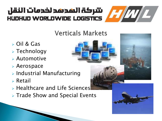

- Oil & Gas
- $\triangleright$  Technology
- Automotive
- Aerospace
- $\triangleright$  Industrial Manufacturing
- $\triangleright$  Retail
- $\triangleright$  Healthcare and Life Sciences
- $\triangleright$  Trade Show and Special Events

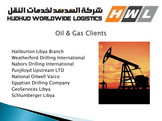## Oil & Gas Clients

Haliburton Libya Branch Weatherford Drilling International Nabors Drilling International Punjlloyd Upstream LTD National Oilwell Varco Egyptian Drilling Company GeoServices Libya Schlumberger Libya

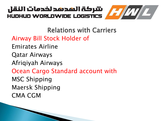

Relations with Carriers Airway Bill Stock Holder of Emirates Airline Qatar Airways Afriqiyah Airways Ocean Cargo Standard account with MSC Shipping Maersk Shipping CMA CGM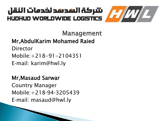

Management

Mr,AbdulKarim Mohamed Raied

Director Mobile:+218-91-2104351 E‐mail: karim@hwl.ly

Mr,Masaud Sarwar Country Manager Mobile:+218‐94‐3205439 E‐mail: masaud@hwl.ly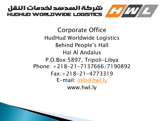

Corporate Office HudHud Worldwide Logistics Behind People's Hall Hai Al Andalus P.O.Box:5897, Tripoli-Libya Phone: +218-21-7137666/7190892 Fax:+218-21-4773319 E-mail: [info@hwl.](mailto:info@hwl.ly)ly www.hwl.ly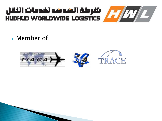

**Member of** 

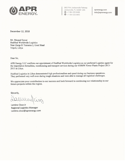

3600 Port Jacksonville Parkway Jacksonville, FL 32226 USA  $\odot$  +1 904 223.8488  $\bigodot$  +1 904 223.8955

aprenergy.com info@aprenergy.com

December 12, 2018

Mr. Masaud Sawar HudHud Worldwide Logistics Near Zarqa El Yamama 2, Gout Shaal Tripoli, Libya

Dear Sir,

APR Energy LLC confirms our appointment of HudHud Worldwide Logistics as our preferred Logistics agent for the importation formalities, warehousing and transport services during our 450MW Power Plants Project 2013-2015 in Libya.

HudHud Logistics in Libya demonstrated high professionalism and speed during our business operations. They performed very well even during tough situations and were able to manage all logistical challenges.

We appreciate your contribution to our success and look forward to continuing our relationship in our future projects within the region.

Sincerly,

Lamine Cisse Jr **Regional Logistics Manager** Lamine.cisse@aprenergy.com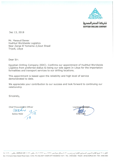

**EGYPTIAN DRILLING COMPANY** 

Dec 13, 2018

Mr. Masaud Sawar HudHud Worldwide Logistics Near Zarga El Yamama 2, Gout Shaal Tripoli, Libya

Dear Sir:

Egyptian Drilling Company (EDC). Confirms our appointment of HudHud Worldwide Logistics from preferred status to being our sole agent In Libya for the importation formalities and transport services to our drilling locations.

This appointment is based upon the reliability and high level of service demonstrated to date.

We appreciate your contribution to our success and look forward to continuing our relationship

Sincerely,

Chief Procurement Officer

er Procureum<br>
Galup 13<br>
Salwa Helal 18

Logisti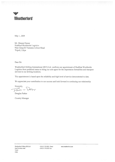

May 1, 2009

Mr. Masaud Sawar HudHud Worldwide Logistics Near Zarqa El Yamama 2, Gout Shaal Tripoli, Libya

Dear Sir:

Weatherford Drilling International (BVI) Ltd. confirms our appointment of HudHud Worldwide Logistics from preferred status to being our sole agent for the importation formalities and transport services to our drilling locations.

This appointment is based upon the reliability and high level of service demonstrated to date.

We appreciate your contribution to our success and look forward to continuing our relationship

Sincerely, Tank w. Parlar

Douglas Parker

**Country Manager** 

www.weatherford.com